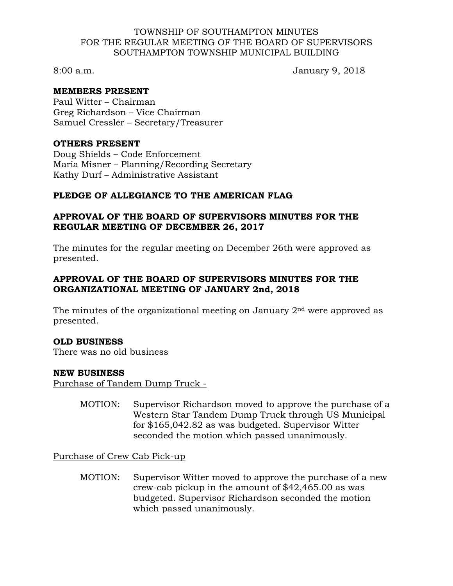#### TOWNSHIP OF SOUTHAMPTON MINUTES FOR THE REGULAR MEETING OF THE BOARD OF SUPERVISORS SOUTHAMPTON TOWNSHIP MUNICIPAL BUILDING

8:00 a.m. January 9, 2018

### **MEMBERS PRESENT**

Paul Witter – Chairman Greg Richardson – Vice Chairman Samuel Cressler – Secretary/Treasurer

#### **OTHERS PRESENT**

Doug Shields – Code Enforcement Maria Misner – Planning/Recording Secretary Kathy Durf – Administrative Assistant

## **PLEDGE OF ALLEGIANCE TO THE AMERICAN FLAG**

### **APPROVAL OF THE BOARD OF SUPERVISORS MINUTES FOR THE REGULAR MEETING OF DECEMBER 26, 2017**

The minutes for the regular meeting on December 26th were approved as presented.

## **APPROVAL OF THE BOARD OF SUPERVISORS MINUTES FOR THE ORGANIZATIONAL MEETING OF JANUARY 2nd, 2018**

The minutes of the organizational meeting on January  $2<sup>nd</sup>$  were approved as presented.

### **OLD BUSINESS**

There was no old business

### **NEW BUSINESS**

Purchase of Tandem Dump Truck -

MOTION: Supervisor Richardson moved to approve the purchase of a Western Star Tandem Dump Truck through US Municipal for \$165,042.82 as was budgeted. Supervisor Witter seconded the motion which passed unanimously.

Purchase of Crew Cab Pick-up

MOTION: Supervisor Witter moved to approve the purchase of a new crew-cab pickup in the amount of \$42,465.00 as was budgeted. Supervisor Richardson seconded the motion which passed unanimously.